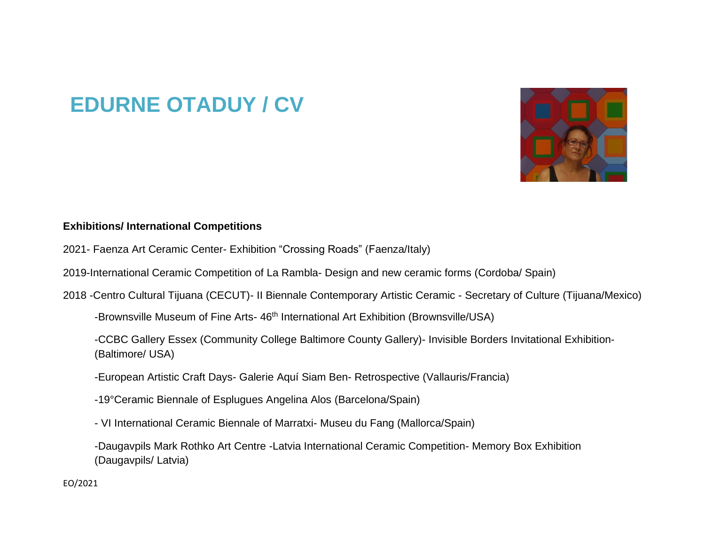## **EDURNE OTADUY / CV**



## **Exhibitions/ International Competitions**

- 2021- Faenza Art Ceramic Center- Exhibition "Crossing Roads" (Faenza/Italy)
- 2019-International Ceramic Competition of La Rambla- Design and new ceramic forms (Cordoba/ Spain)
- 2018 -Centro Cultural Tijuana (CECUT)- II Biennale Contemporary Artistic Ceramic Secretary of Culture (Tijuana/Mexico)
	- -Brownsville Museum of Fine Arts- 46<sup>th</sup> International Art Exhibition (Brownsville/USA)
	- -CCBC Gallery Essex (Community College Baltimore County Gallery)- Invisible Borders Invitational Exhibition- (Baltimore/ USA)
	- -European Artistic Craft Days- Galerie Aquí Siam Ben- Retrospective (Vallauris/Francia)
	- -19°Ceramic Biennale of Esplugues Angelina Alos (Barcelona/Spain)
	- VI International Ceramic Biennale of Marratxi- Museu du Fang (Mallorca/Spain)
	- -Daugavpils Mark Rothko Art Centre -Latvia International Ceramic Competition- Memory Box Exhibition (Daugavpils/ Latvia)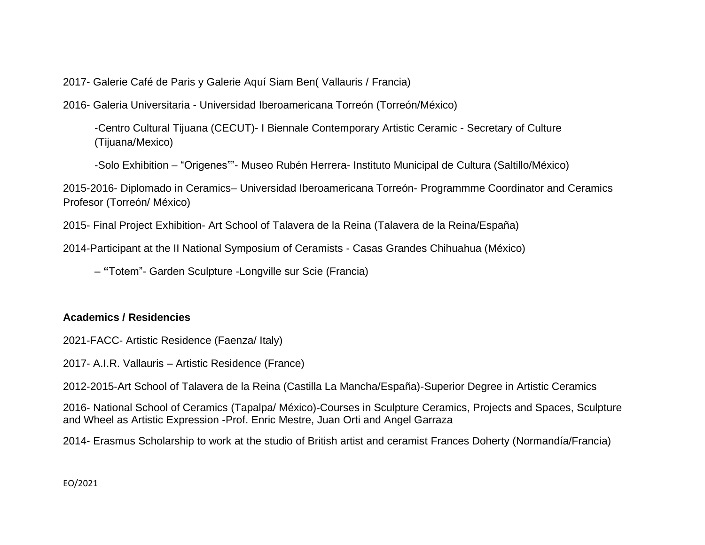2017- Galerie Café de Paris y Galerie Aquí Siam Ben( Vallauris / Francia)

2016- Galeria Universitaria - Universidad Iberoamericana Torreón (Torreón/México)

-Centro Cultural Tijuana (CECUT)- I Biennale Contemporary Artistic Ceramic - Secretary of Culture (Tijuana/Mexico)

-Solo Exhibition – "Origenes""- Museo Rubén Herrera- Instituto Municipal de Cultura (Saltillo/México)

2015-2016- Diplomado in Ceramics– Universidad Iberoamericana Torreón- Programmme Coordinator and Ceramics Profesor (Torreón/ México)

2015- Final Project Exhibition- Art School of Talavera de la Reina (Talavera de la Reina/España)

2014-Participant at the II National Symposium of Ceramists - Casas Grandes Chihuahua (México)

– **"**Totem"- Garden Sculpture -Longville sur Scie (Francia)

## **Academics / Residencies**

2021-FACC- Artistic Residence (Faenza/ Italy)

2017- A.I.R. Vallauris – Artistic Residence (France)

2012-2015-Art School of Talavera de la Reina (Castilla La Mancha/España)-Superior Degree in Artistic Ceramics

2016- National School of Ceramics (Tapalpa/ México)-Courses in Sculpture Ceramics, Projects and Spaces, Sculpture and Wheel as Artistic Expression -Prof. Enric Mestre, Juan Orti and Angel Garraza

2014- Erasmus Scholarship to work at the studio of British artist and ceramist Frances Doherty (Normandía/Francia)

EO/2021